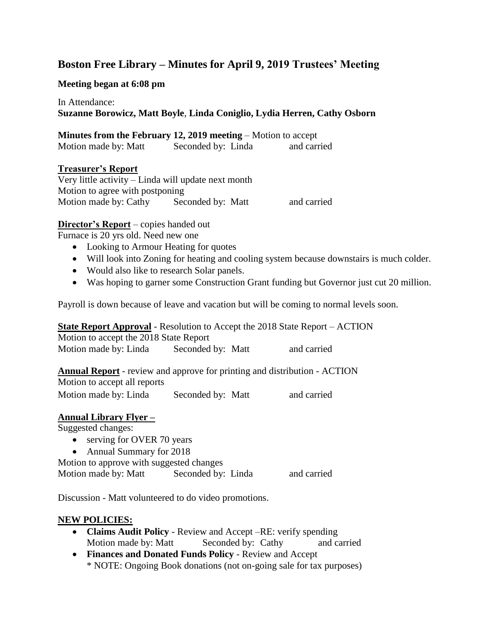# **Boston Free Library – Minutes for April 9, 2019 Trustees' Meeting**

**Meeting began at 6:08 pm**

# In Attendance: **Suzanne Borowicz, Matt Boyle**, **Linda Coniglio, Lydia Herren, Cathy Osborn**

# **Minutes from the February 12, 2019 meeting** – Motion to accept

| Motion made by: Matt | Seconded by: Linda | and carried |
|----------------------|--------------------|-------------|

# **Treasurer's Report**

Very little activity – Linda will update next month Motion to agree with postponing Motion made by: Cathy Seconded by: Matt and carried

# **Director's Report** – copies handed out

Furnace is 20 yrs old. Need new one

- Looking to Armour Heating for quotes
- Will look into Zoning for heating and cooling system because downstairs is much colder.
- Would also like to research Solar panels.
- Was hoping to garner some Construction Grant funding but Governor just cut 20 million.

Payroll is down because of leave and vacation but will be coming to normal levels soon.

**State Report Approval** - Resolution to Accept the 2018 State Report – ACTION Motion to accept the 2018 State Report Motion made by: Linda Seconded by: Matt and carried

**Annual Report** - review and approve for printing and distribution - ACTION Motion to accept all reports

Motion made by: Linda Seconded by: Matt and carried

# **Annual Library Flyer –**

Suggested changes:

- serving for OVER 70 years
- Annual Summary for 2018

Motion to approve with suggested changes Motion made by: Matt Seconded by: Linda and carried

Discussion - Matt volunteered to do video promotions.

# **NEW POLICIES:**

- **Claims Audit Policy** Review and Accept –RE: verify spending Motion made by: Matt Seconded by: Cathy and carried
- **Finances and Donated Funds Policy** Review and Accept \* NOTE: Ongoing Book donations (not on-going sale for tax purposes)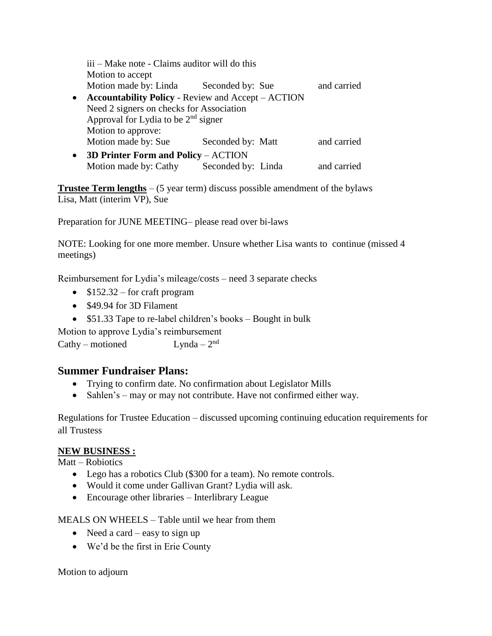iii – Make note - Claims auditor will do this Motion to accept Motion made by: Linda Seconded by: Sue and carried **Accountability Policy** - Review and Accept – ACTION Need 2 signers on checks for Association Approval for Lydia to be  $2<sup>nd</sup>$  signer Motion to approve: Motion made by: Sue Seconded by: Matt and carried **3D Printer Form and Policy** – ACTION Motion made by: Cathy Seconded by: Linda and carried

**Trustee Term lengths** – (5 year term) discuss possible amendment of the bylaws Lisa, Matt (interim VP), Sue

Preparation for JUNE MEETING– please read over bi-laws

NOTE: Looking for one more member. Unsure whether Lisa wants to continue (missed 4 meetings)

Reimbursement for Lydia's mileage/costs – need 3 separate checks

- $\bullet$  \$152.32 for craft program
- \$49.94 for 3D Filament
- \$51.33 Tape to re-label children's books Bought in bulk

Motion to approve Lydia's reimbursement

 $Cathy - motioned$ Lynda  $-2<sup>nd</sup>$ 

# **Summer Fundraiser Plans:**

- Trying to confirm date. No confirmation about Legislator Mills
- Sahlen's may or may not contribute. Have not confirmed either way.

Regulations for Trustee Education – discussed upcoming continuing education requirements for all Trustess

# **NEW BUSINESS :**

Matt – Robiotics

- Lego has a robotics Club (\$300 for a team). No remote controls.
- Would it come under Gallivan Grant? Lydia will ask.
- Encourage other libraries Interlibrary League

MEALS ON WHEELS – Table until we hear from them

- Need a card easy to sign up
- We'd be the first in Erie County

Motion to adjourn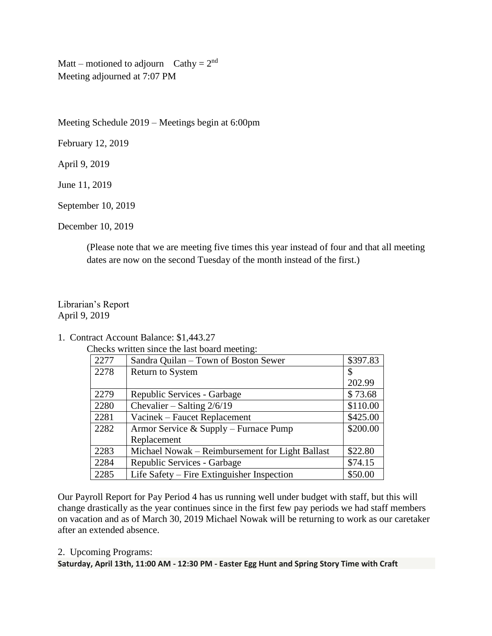Matt – motioned to adjourn Cathy =  $2<sup>nd</sup>$ Meeting adjourned at 7:07 PM

Meeting Schedule 2019 – Meetings begin at 6:00pm

February 12, 2019

April 9, 2019

June 11, 2019

September 10, 2019

December 10, 2019

(Please note that we are meeting five times this year instead of four and that all meeting dates are now on the second Tuesday of the month instead of the first.)

# Librarian's Report April 9, 2019

1. Contract Account Balance: \$1,443.27

Checks written since the last board meeting:

| 2277 | Sandra Quilan - Town of Boston Sewer            | \$397.83 |
|------|-------------------------------------------------|----------|
| 2278 | <b>Return to System</b>                         | \$       |
|      |                                                 | 202.99   |
| 2279 | Republic Services - Garbage                     | \$73.68  |
| 2280 | Chevalier – Salting $2/6/19$                    | \$110.00 |
| 2281 | Vacinek – Faucet Replacement                    | \$425.00 |
| 2282 | Armor Service & Supply – Furnace Pump           | \$200.00 |
|      | Replacement                                     |          |
| 2283 | Michael Nowak – Reimbursement for Light Ballast | \$22.80  |
| 2284 | Republic Services - Garbage                     | \$74.15  |
| 2285 | Life Safety $-$ Fire Extinguisher Inspection    | \$50.00  |

Our Payroll Report for Pay Period 4 has us running well under budget with staff, but this will change drastically as the year continues since in the first few pay periods we had staff members on vacation and as of March 30, 2019 Michael Nowak will be returning to work as our caretaker after an extended absence.

#### 2. Upcoming Programs:

**Saturday, April 13th, 11:00 AM - 12:30 PM - Easter Egg Hunt and Spring Story Time with Craft**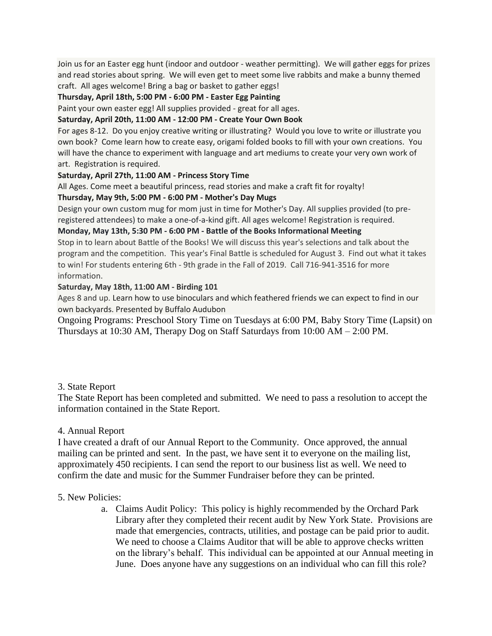Join us for an Easter egg hunt (indoor and outdoor - weather permitting). We will gather eggs for prizes and read stories about spring. We will even get to meet some live rabbits and make a bunny themed craft. All ages welcome! Bring a bag or basket to gather eggs!

#### **Thursday, April 18th, 5:00 PM - 6:00 PM - Easter Egg Painting**

Paint your own easter egg! All supplies provided - great for all ages.

# **Saturday, April 20th, 11:00 AM - 12:00 PM - Create Your Own Book**

For ages 8-12. Do you enjoy creative writing or illustrating? Would you love to write or illustrate you own book? Come learn how to create easy, origami folded books to fill with your own creations. You will have the chance to experiment with language and art mediums to create your very own work of art. Registration is required.

#### **Saturday, April 27th, 11:00 AM - Princess Story Time**

All Ages. Come meet a beautiful princess, read stories and make a craft fit for royalty!

#### **Thursday, May 9th, 5:00 PM - 6:00 PM - Mother's Day Mugs**

Design your own custom mug for mom just in time for Mother's Day. All supplies provided (to preregistered attendees) to make a one-of-a-kind gift. All ages welcome! Registration is required.

#### **Monday, May 13th, 5:30 PM - 6:00 PM - Battle of the Books Informational Meeting**

Stop in to learn about Battle of the Books! We will discuss this year's selections and talk about the program and the competition. This year's Final Battle is scheduled for August 3. Find out what it takes to win! For students entering 6th - 9th grade in the Fall of 2019. Call 716-941-3516 for more information.

#### **Saturday, May 18th, 11:00 AM - Birding 101**

Ages 8 and up. Learn how to use binoculars and which feathered friends we can expect to find in our own backyards. Presented by Buffalo Audubon

Ongoing Programs: Preschool Story Time on Tuesdays at 6:00 PM, Baby Story Time (Lapsit) on Thursdays at 10:30 AM, Therapy Dog on Staff Saturdays from 10:00 AM – 2:00 PM.

# 3. State Report

The State Report has been completed and submitted. We need to pass a resolution to accept the information contained in the State Report.

# 4. Annual Report

I have created a draft of our Annual Report to the Community. Once approved, the annual mailing can be printed and sent. In the past, we have sent it to everyone on the mailing list, approximately 450 recipients. I can send the report to our business list as well. We need to confirm the date and music for the Summer Fundraiser before they can be printed.

# 5. New Policies:

a. Claims Audit Policy: This policy is highly recommended by the Orchard Park Library after they completed their recent audit by New York State. Provisions are made that emergencies, contracts, utilities, and postage can be paid prior to audit. We need to choose a Claims Auditor that will be able to approve checks written on the library's behalf. This individual can be appointed at our Annual meeting in June. Does anyone have any suggestions on an individual who can fill this role?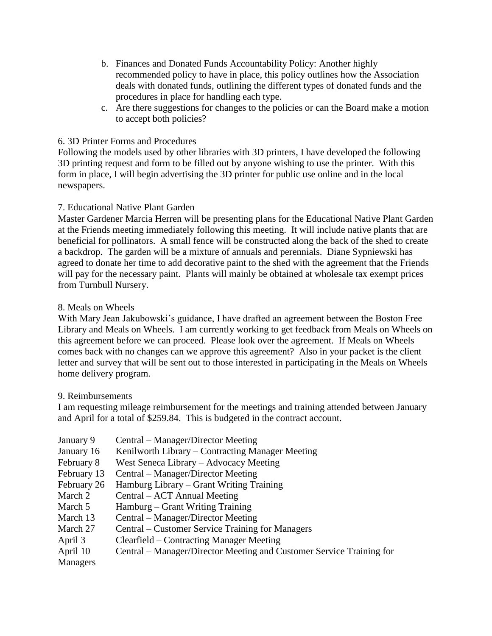- b. Finances and Donated Funds Accountability Policy: Another highly recommended policy to have in place, this policy outlines how the Association deals with donated funds, outlining the different types of donated funds and the procedures in place for handling each type.
- c. Are there suggestions for changes to the policies or can the Board make a motion to accept both policies?

# 6. 3D Printer Forms and Procedures

Following the models used by other libraries with 3D printers, I have developed the following 3D printing request and form to be filled out by anyone wishing to use the printer. With this form in place, I will begin advertising the 3D printer for public use online and in the local newspapers.

# 7. Educational Native Plant Garden

Master Gardener Marcia Herren will be presenting plans for the Educational Native Plant Garden at the Friends meeting immediately following this meeting. It will include native plants that are beneficial for pollinators. A small fence will be constructed along the back of the shed to create a backdrop. The garden will be a mixture of annuals and perennials. Diane Sypniewski has agreed to donate her time to add decorative paint to the shed with the agreement that the Friends will pay for the necessary paint. Plants will mainly be obtained at wholesale tax exempt prices from Turnbull Nursery.

# 8. Meals on Wheels

With Mary Jean Jakubowski's guidance, I have drafted an agreement between the Boston Free Library and Meals on Wheels. I am currently working to get feedback from Meals on Wheels on this agreement before we can proceed. Please look over the agreement. If Meals on Wheels comes back with no changes can we approve this agreement? Also in your packet is the client letter and survey that will be sent out to those interested in participating in the Meals on Wheels home delivery program.

# 9. Reimbursements

I am requesting mileage reimbursement for the meetings and training attended between January and April for a total of \$259.84. This is budgeted in the contract account.

January 9 Central – Manager/Director Meeting January 16 Kenilworth Library – Contracting Manager Meeting February 8 West Seneca Library – Advocacy Meeting February 13 Central – Manager/Director Meeting February 26 Hamburg Library – Grant Writing Training March 2 Central – ACT Annual Meeting March 5 Hamburg – Grant Writing Training March 13 Central – Manager/Director Meeting March 27 Central – Customer Service Training for Managers April 3 Clearfield – Contracting Manager Meeting April 10 Central – Manager/Director Meeting and Customer Service Training for Managers